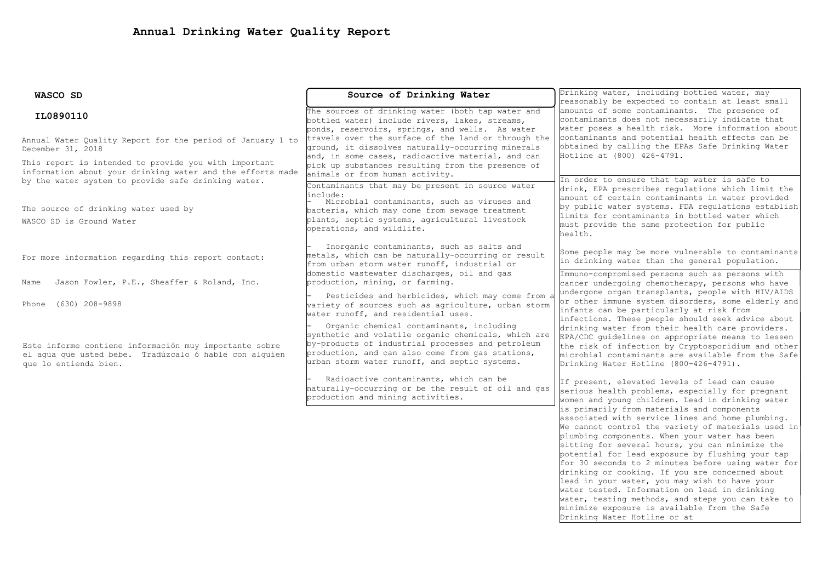| WASCO SD                                                                                                                                                                   | Source of Drinking Water                                                                                                                                                                                                                                  | Drinking water, including bottled water, may<br>reasonably be expected to contain at least small                                                                                                                                                                                                                                                                                                                                                                                                                                                                                                                             |  |  |
|----------------------------------------------------------------------------------------------------------------------------------------------------------------------------|-----------------------------------------------------------------------------------------------------------------------------------------------------------------------------------------------------------------------------------------------------------|------------------------------------------------------------------------------------------------------------------------------------------------------------------------------------------------------------------------------------------------------------------------------------------------------------------------------------------------------------------------------------------------------------------------------------------------------------------------------------------------------------------------------------------------------------------------------------------------------------------------------|--|--|
| IL0890110                                                                                                                                                                  | The sources of drinking water (both tap water and<br>bottled water) include rivers, lakes, streams,<br>ponds, reservoirs, springs, and wells. As water                                                                                                    | amounts of some contaminants. The presence of<br>contaminants does not necessarily indicate that<br>water poses a health risk. More information about                                                                                                                                                                                                                                                                                                                                                                                                                                                                        |  |  |
| Annual Water Quality Report for the period of January 1 to<br>December 31, 2018                                                                                            | travels over the surface of the land or through the<br>ground, it dissolves naturally-occurring minerals<br>and, in some cases, radioactive material, and can                                                                                             | contaminants and potential health effects can be<br>obtained by calling the EPAs Safe Drinking Water<br>Hotline at (800) 426-4791.                                                                                                                                                                                                                                                                                                                                                                                                                                                                                           |  |  |
| This report is intended to provide you with important<br>information about your drinking water and the efforts made<br>by the water system to provide safe drinking water. | pick up substances resulting from the presence of<br>animals or from human activity.                                                                                                                                                                      | In order to ensure that tap water is safe to                                                                                                                                                                                                                                                                                                                                                                                                                                                                                                                                                                                 |  |  |
|                                                                                                                                                                            | Contaminants that may be present in source water<br>linclude:<br>Microbial contaminants, such as viruses and                                                                                                                                              | drink, EPA prescribes regulations which limit the<br>amount of certain contaminants in water provided<br>by public water systems. FDA requlations establish<br>limits for contaminants in bottled water which<br>must provide the same protection for public                                                                                                                                                                                                                                                                                                                                                                 |  |  |
| The source of drinking water used by<br>WASCO SD is Ground Water                                                                                                           | bacteria, which may come from sewage treatment<br>plants, septic systems, agricultural livestock<br>operations, and wildlife.                                                                                                                             |                                                                                                                                                                                                                                                                                                                                                                                                                                                                                                                                                                                                                              |  |  |
| For more information regarding this report contact:                                                                                                                        | Inorganic contaminants, such as salts and<br>metals, which can be naturally-occurring or result<br>from urban storm water runoff, industrial or                                                                                                           | health.<br>Some people may be more vulnerable to contaminants<br>in drinking water than the general population.                                                                                                                                                                                                                                                                                                                                                                                                                                                                                                              |  |  |
| Jason Fowler, P.E., Sheaffer & Roland, Inc.<br>Name                                                                                                                        | domestic wastewater discharges, oil and gas<br>production, mining, or farming.                                                                                                                                                                            | Immuno-compromised persons such as persons with<br>cancer undergoing chemotherapy, persons who have<br>undergone organ transplants, people with HIV/AIDS                                                                                                                                                                                                                                                                                                                                                                                                                                                                     |  |  |
| (630) 208-9898<br>Phone                                                                                                                                                    | Pesticides and herbicides, which may come from a<br>variety of sources such as agriculture, urban storm<br>water runoff, and residential uses.                                                                                                            | or other immune system disorders, some elderly and<br>infants can be particularly at risk from<br>infections. These people should seek advice about                                                                                                                                                                                                                                                                                                                                                                                                                                                                          |  |  |
| Este informe contiene información muy importante sobre<br>el aqua que usted bebe. Tradúzcalo ó hable con alquien<br>que lo entienda bien.                                  | Organic chemical contaminants, including<br>synthetic and volatile organic chemicals, which are<br>by-products of industrial processes and petroleum<br>production, and can also come from gas stations,<br>urban storm water runoff, and septic systems. | drinking water from their health care providers.<br>EPA/CDC guidelines on appropriate means to lessen<br>the risk of infection by Cryptosporidium and other<br>microbial contaminants are available from the Safe<br>Drinking Water Hotline (800-426-4791).                                                                                                                                                                                                                                                                                                                                                                  |  |  |
|                                                                                                                                                                            | Radioactive contaminants, which can be<br>naturally-occurring or be the result of oil and gas<br>production and mining activities.                                                                                                                        | If present, elevated levels of lead can cause<br>serious health problems, especially for pregnant<br>women and young children. Lead in drinking water                                                                                                                                                                                                                                                                                                                                                                                                                                                                        |  |  |
|                                                                                                                                                                            |                                                                                                                                                                                                                                                           | is primarily from materials and components<br>associated with service lines and home plumbing.<br>We cannot control the variety of materials used in<br>plumbing components. When your water has been<br>sitting for several hours, you can minimize the<br>potential for lead exposure by flushing your tap<br>for 30 seconds to 2 minutes before using water for<br>drinking or cooking. If you are concerned about<br>lead in your water, you may wish to have your<br>water tested. Information on lead in drinking<br>water, testing methods, and steps you can take to<br>minimize exposure is available from the Safe |  |  |

Drinking Water Hotline or at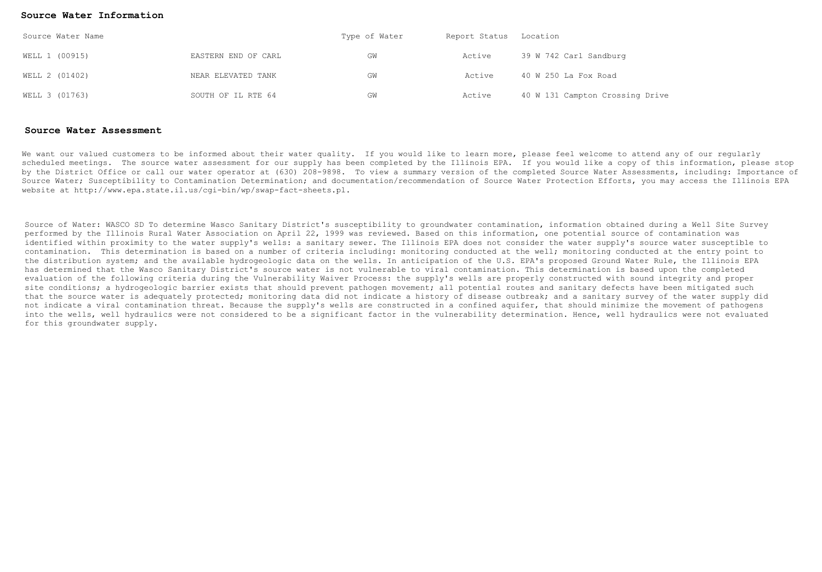## **Source Water Information**

| Source Water Name |                     | Type of Water | Report Status Location |                                 |  |
|-------------------|---------------------|---------------|------------------------|---------------------------------|--|
| WELL 1 (00915)    | EASTERN END OF CARL | GW            | Active                 | 39 W 742 Carl Sandburg          |  |
| WELL 2 (01402)    | NEAR ELEVATED TANK  | GW            | Active                 | 40 W 250 La Fox Road            |  |
| WELL 3 (01763)    | SOUTH OF IL RTE 64  | GW            | Active                 | 40 W 131 Campton Crossing Drive |  |

## **Source Water Assessment**

We want our valued customers to be informed about their water quality. If you would like to learn more, please feel welcome to attend any of our reqularly scheduled meetings. The source water assessment for our supply has been completed by the Illinois EPA. If you would like a copy of this information, please stop by the District Office or call our water operator at (630) 208-9898. To view a summary version of the completed Source Water Assessments, including: Importance of Source Water; Susceptibility to Contamination Determination; and documentation/recommendation of Source Water Protection Efforts, you may access the Illinois EPA website at http://www.epa.state.il.us/cgi-bin/wp/swap-fact-sheets.pl.

Source of Water: WASCO SD To determine Wasco Sanitary District's susceptibility to groundwater contamination, information obtained during a Well Site Survey performed by the Illinois Rural Water Association on April 22, 1999 was reviewed. Based on this information, one potential source of contamination was identified within proximity to the water supply's wells: a sanitary sewer. The Illinois EPA does not consider the water supply's source water susceptible to contamination. This determination is based on a number of criteria including: monitoring conducted at the well; monitoring conducted at the entry point to the distribution system; and the available hydrogeologic data on the wells. In anticipation of the U.S. EPA's proposed Ground Water Rule, the Illinois EPA has determined that the Wasco Sanitary District's source water is not vulnerable to viral contamination. This determination is based upon the completed evaluation of the following criteria during the Vulnerability Waiver Process: the supply's wells are properly constructed with sound integrity and proper site conditions; a hydrogeologic barrier exists that should prevent pathogen movement; all potential routes and sanitary defects have been mitigated such that the source water is adequately protected; monitoring data did not indicate a history of disease outbreak; and a sanitary survey of the water supply did not indicate a viral contamination threat. Because the supply's wells are constructed in a confined aquifer, that should minimize the movement of pathogens into the wells, well hydraulics were not considered to be a significant factor in the vulnerability determination. Hence, well hydraulics were not evaluated for this groundwater supply.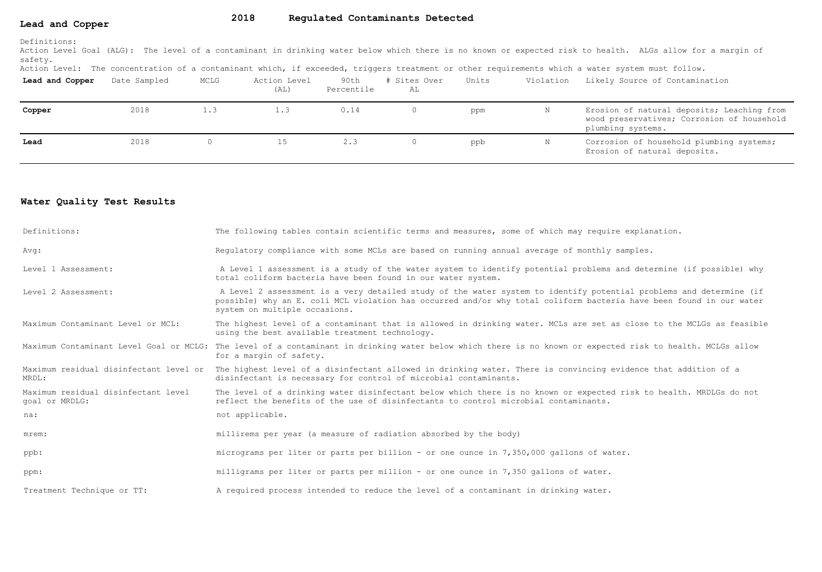#### **Lead and Copper 2018 Regulated Contaminants Detected**

Action Level Goal (ALG): The level of a contaminant in drinking water below which there is no known or expected risk to health. ALGs allow for a margin of safety.

Action Level: The concentration of a contaminant which, if exceeded, triggers treatment or other requirements which a water system must follow.

| Lead and Copper | Date Sampled | MCLG | Action Level<br>(AL) | 90th<br>Percentile | Sites Over<br>AL | Units | Violation | Likely Source of Contamination                                                                                |
|-----------------|--------------|------|----------------------|--------------------|------------------|-------|-----------|---------------------------------------------------------------------------------------------------------------|
| Copper          | 2018         | 1.3  | 1.3                  | 0.14               |                  | ppm   | N         | Erosion of natural deposits; Leaching from<br>wood preservatives; Corrosion of household<br>plumbing systems. |
| Lead            | 2018         |      | 15                   | 2.3                |                  | ppb   |           | Corrosion of household plumbing systems;<br>Erosion of natural deposits.                                      |

## **Water Quality Test Results**

| Definitions:                                          | The following tables contain scientific terms and measures, some of which may require explanation.                                                                                                                                                                         |
|-------------------------------------------------------|----------------------------------------------------------------------------------------------------------------------------------------------------------------------------------------------------------------------------------------------------------------------------|
| Avg:                                                  | Requlatory compliance with some MCLs are based on running annual average of monthly samples.                                                                                                                                                                               |
| Level 1 Assessment:                                   | A Level 1 assessment is a study of the water system to identify potential problems and determine (if possible) why<br>total coliform bacteria have been found in our water system.                                                                                         |
| Level 2 Assessment:                                   | A Level 2 assessment is a very detailed study of the water system to identify potential problems and determine (if<br>possible) why an E. coli MCL violation has occurred and/or why total coliform bacteria have been found in our water<br>system on multiple occasions. |
| Maximum Contaminant Level or MCL:                     | The highest level of a contaminant that is allowed in drinking water. MCLs are set as close to the MCLGs as feasible<br>using the best available treatment technology.                                                                                                     |
|                                                       | Maximum Contaminant Level Goal or MCLG: The level of a contaminant in drinking water below which there is no known or expected risk to health. MCLGs allow<br>for a margin of safety.                                                                                      |
| MRDL:                                                 | Maximum residual disinfectant level or The highest level of a disinfectant allowed in drinking water. There is convincing evidence that addition of a<br>disinfectant is necessary for control of microbial contaminants.                                                  |
| Maximum residual disinfectant level<br>goal or MRDLG: | The level of a drinking water disinfectant below which there is no known or expected risk to health. MRDLGs do not<br>reflect the benefits of the use of disinfectants to control microbial contaminants.                                                                  |
| na:                                                   | not applicable.                                                                                                                                                                                                                                                            |
| mrem:                                                 | millirems per year (a measure of radiation absorbed by the body)                                                                                                                                                                                                           |
| ppb:                                                  | micrograms per liter or parts per billion - or one ounce in $7,350,000$ gallons of water.                                                                                                                                                                                  |
| ppm:                                                  | milligrams per liter or parts per million - or one ounce in 7,350 gallons of water.                                                                                                                                                                                        |
| Treatment Technique or TT:                            | A required process intended to reduce the level of a contaminant in drinking water.                                                                                                                                                                                        |